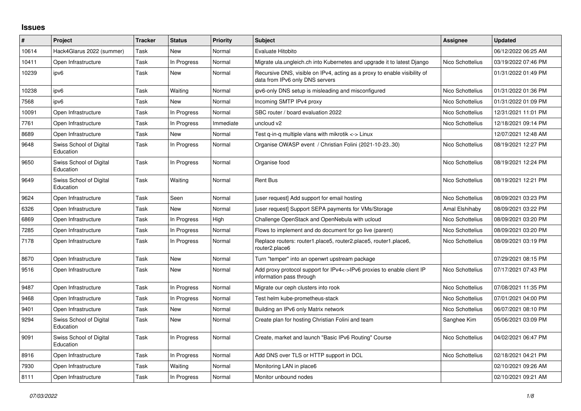## **Issues**

| $\pmb{\#}$ | Project                              | <b>Tracker</b> | <b>Status</b> | Priority  | <b>Subject</b>                                                                                               | Assignee         | <b>Updated</b>      |
|------------|--------------------------------------|----------------|---------------|-----------|--------------------------------------------------------------------------------------------------------------|------------------|---------------------|
| 10614      | Hack4Glarus 2022 (summer)            | Task           | New           | Normal    | Evaluate Hitobito                                                                                            |                  | 06/12/2022 06:25 AM |
| 10411      | Open Infrastructure                  | Task           | In Progress   | Normal    | Migrate ula.ungleich.ch into Kubernetes and upgrade it to latest Django                                      | Nico Schottelius | 03/19/2022 07:46 PM |
| 10239      | ipv6                                 | Task           | New           | Normal    | Recursive DNS, visible on IPv4, acting as a proxy to enable visibility of<br>data from IPv6 only DNS servers |                  | 01/31/2022 01:49 PM |
| 10238      | ipv6                                 | Task           | Waiting       | Normal    | ipv6-only DNS setup is misleading and misconfigured                                                          | Nico Schottelius | 01/31/2022 01:36 PM |
| 7568       | ipv6                                 | Task           | New           | Normal    | Incoming SMTP IPv4 proxy                                                                                     | Nico Schottelius | 01/31/2022 01:09 PM |
| 10091      | Open Infrastructure                  | Task           | In Progress   | Normal    | SBC router / board evaluation 2022                                                                           | Nico Schottelius | 12/31/2021 11:01 PM |
| 7761       | Open Infrastructure                  | Task           | In Progress   | Immediate | uncloud v2                                                                                                   | Nico Schottelius | 12/18/2021 09:14 PM |
| 8689       | Open Infrastructure                  | Task           | New           | Normal    | Test q-in-q multiple vlans with mikrotik $\lt$ -> Linux                                                      |                  | 12/07/2021 12:48 AM |
| 9648       | Swiss School of Digital<br>Education | Task           | In Progress   | Normal    | Organise OWASP event / Christian Folini (2021-10-2330)                                                       | Nico Schottelius | 08/19/2021 12:27 PM |
| 9650       | Swiss School of Digital<br>Education | Task           | In Progress   | Normal    | Organise food                                                                                                | Nico Schottelius | 08/19/2021 12:24 PM |
| 9649       | Swiss School of Digital<br>Education | Task           | Waiting       | Normal    | <b>Rent Bus</b>                                                                                              | Nico Schottelius | 08/19/2021 12:21 PM |
| 9624       | Open Infrastructure                  | Task           | Seen          | Normal    | [user request] Add support for email hosting                                                                 | Nico Schottelius | 08/09/2021 03:23 PM |
| 6326       | Open Infrastructure                  | Task           | New           | Normal    | [user request] Support SEPA payments for VMs/Storage                                                         | Amal Elshihaby   | 08/09/2021 03:22 PM |
| 6869       | Open Infrastructure                  | Task           | In Progress   | High      | Challenge OpenStack and OpenNebula with ucloud                                                               | Nico Schottelius | 08/09/2021 03:20 PM |
| 7285       | Open Infrastructure                  | Task           | In Progress   | Normal    | Flows to implement and do document for go live (parent)                                                      | Nico Schottelius | 08/09/2021 03:20 PM |
| 7178       | Open Infrastructure                  | Task           | In Progress   | Normal    | Replace routers: router1.place5, router2.place5, router1.place6,<br>router2.place6                           | Nico Schottelius | 08/09/2021 03:19 PM |
| 8670       | Open Infrastructure                  | Task           | <b>New</b>    | Normal    | Turn "temper" into an openwrt upstream package                                                               |                  | 07/29/2021 08:15 PM |
| 9516       | Open Infrastructure                  | Task           | New           | Normal    | Add proxy protocol support for IPv4<->IPv6 proxies to enable client IP<br>information pass through           | Nico Schottelius | 07/17/2021 07:43 PM |
| 9487       | Open Infrastructure                  | Task           | In Progress   | Normal    | Migrate our ceph clusters into rook                                                                          | Nico Schottelius | 07/08/2021 11:35 PM |
| 9468       | Open Infrastructure                  | Task           | In Progress   | Normal    | Test helm kube-prometheus-stack                                                                              | Nico Schottelius | 07/01/2021 04:00 PM |
| 9401       | Open Infrastructure                  | Task           | New           | Normal    | Building an IPv6 only Matrix network                                                                         | Nico Schottelius | 06/07/2021 08:10 PM |
| 9294       | Swiss School of Digital<br>Education | Task           | New           | Normal    | Create plan for hosting Christian Folini and team                                                            | Sanghee Kim      | 05/06/2021 03:09 PM |
| 9091       | Swiss School of Digital<br>Education | Task           | In Progress   | Normal    | Create, market and launch "Basic IPv6 Routing" Course                                                        | Nico Schottelius | 04/02/2021 06:47 PM |
| 8916       | Open Infrastructure                  | Task           | In Progress   | Normal    | Add DNS over TLS or HTTP support in DCL                                                                      | Nico Schottelius | 02/18/2021 04:21 PM |
| 7930       | Open Infrastructure                  | Task           | Waiting       | Normal    | Monitoring LAN in place6                                                                                     |                  | 02/10/2021 09:26 AM |
| 8111       | Open Infrastructure                  | Task           | In Progress   | Normal    | Monitor unbound nodes                                                                                        |                  | 02/10/2021 09:21 AM |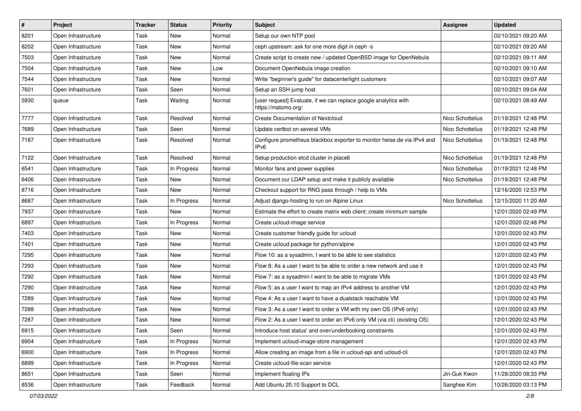| $\vert$ # | Project             | <b>Tracker</b> | <b>Status</b> | <b>Priority</b> | Subject                                                                                     | <b>Assignee</b>  | <b>Updated</b>      |
|-----------|---------------------|----------------|---------------|-----------------|---------------------------------------------------------------------------------------------|------------------|---------------------|
| 8201      | Open Infrastructure | Task           | New           | Normal          | Setup our own NTP pool                                                                      |                  | 02/10/2021 09:20 AM |
| 8202      | Open Infrastructure | Task           | New           | Normal          | ceph upstream: ask for one more digit in ceph -s                                            |                  | 02/10/2021 09:20 AM |
| 7503      | Open Infrastructure | Task           | New           | Normal          | Create script to create new / updated OpenBSD image for OpenNebula                          |                  | 02/10/2021 09:11 AM |
| 7504      | Open Infrastructure | Task           | New           | Low             | Document OpenNebula image creation                                                          |                  | 02/10/2021 09:10 AM |
| 7544      | Open Infrastructure | Task           | New           | Normal          | Write "beginner's guide" for datacenterlight customers                                      |                  | 02/10/2021 09:07 AM |
| 7601      | Open Infrastructure | Task           | Seen          | Normal          | Setup an SSH jump host                                                                      |                  | 02/10/2021 09:04 AM |
| 5930      | queue               | Task           | Waiting       | Normal          | [user request] Evaluate, if we can replace google analytics with<br>https://matomo.org/     |                  | 02/10/2021 08:49 AM |
| 7777      | Open Infrastructure | Task           | Resolved      | Normal          | <b>Create Documentation of Nextcloud</b>                                                    | Nico Schottelius | 01/19/2021 12:48 PM |
| 7689      | Open Infrastructure | Task           | Seen          | Normal          | Update certbot on several VMs                                                               | Nico Schottelius | 01/19/2021 12:48 PM |
| 7187      | Open Infrastructure | Task           | Resolved      | Normal          | Configure prometheus blackbox exporter to monitor heise.de via IPv4 and<br>IPv <sub>6</sub> | Nico Schottelius | 01/19/2021 12:48 PM |
| 7122      | Open Infrastructure | Task           | Resolved      | Normal          | Setup production etcd cluster in place6                                                     | Nico Schottelius | 01/19/2021 12:48 PM |
| 6541      | Open Infrastructure | Task           | In Progress   | Normal          | Monitor fans and power supplies                                                             | Nico Schottelius | 01/19/2021 12:48 PM |
| 6406      | Open Infrastructure | Task           | New           | Normal          | Document our LDAP setup and make it publicly available                                      | Nico Schottelius | 01/19/2021 12:48 PM |
| 8716      | Open Infrastructure | Task           | New           | Normal          | Checkout support for RNG pass through / help to VMs                                         |                  | 12/16/2020 12:53 PM |
| 8687      | Open Infrastructure | Task           | In Progress   | Normal          | Adjust diango-hosting to run on Alpine Linux                                                | Nico Schottelius | 12/15/2020 11:20 AM |
| 7937      | Open Infrastructure | Task           | New           | Normal          | Estimate the effort to create matrix web client; create minimum sample                      |                  | 12/01/2020 02:49 PM |
| 6897      | Open Infrastructure | Task           | In Progress   | Normal          | Create ucloud-image service                                                                 |                  | 12/01/2020 02:48 PM |
| 7403      | Open Infrastructure | Task           | New           | Normal          | Create customer friendly guide for ucloud                                                   |                  | 12/01/2020 02:43 PM |
| 7401      | Open Infrastructure | Task           | New           | Normal          | Create ucloud package for python/alpine                                                     |                  | 12/01/2020 02:43 PM |
| 7295      | Open Infrastructure | Task           | New           | Normal          | Flow 10: as a sysadmin, I want to be able to see statistics                                 |                  | 12/01/2020 02:43 PM |
| 7293      | Open Infrastructure | Task           | <b>New</b>    | Normal          | Flow 8: As a user I want to be able to order a new network and use it                       |                  | 12/01/2020 02:43 PM |
| 7292      | Open Infrastructure | Task           | New           | Normal          | Flow 7: as a sysadmin I want to be able to migrate VMs                                      |                  | 12/01/2020 02:43 PM |
| 7290      | Open Infrastructure | Task           | New           | Normal          | Flow 5: as a user I want to map an IPv4 address to another VM                               |                  | 12/01/2020 02:43 PM |
| 7289      | Open Infrastructure | Task           | New           | Normal          | Flow 4: As a user I want to have a dualstack reachable VM                                   |                  | 12/01/2020 02:43 PM |
| 7288      | Open Infrastructure | Task           | New           | Normal          | Flow 3: As a user I want to order a VM with my own OS (IPv6 only)                           |                  | 12/01/2020 02:43 PM |
| 7287      | Open Infrastructure | Task           | New           | Normal          | Flow 2: As a user I want to order an IPv6 only VM (via cli) (existing OS)                   |                  | 12/01/2020 02:43 PM |
| 6915      | Open Infrastructure | Task           | Seen          | Normal          | Introduce host status' and over/underbooking constraints                                    |                  | 12/01/2020 02:43 PM |
| 6904      | Open Infrastructure | Task           | In Progress   | Normal          | Implement ucloud-image-store management                                                     |                  | 12/01/2020 02:43 PM |
| 6900      | Open Infrastructure | Task           | In Progress   | Normal          | Allow creating an image from a file in ucloud-api and ucloud-cli                            |                  | 12/01/2020 02:43 PM |
| 6899      | Open Infrastructure | Task           | In Progress   | Normal          | Create ucloud-file-scan service                                                             |                  | 12/01/2020 02:43 PM |
| 8651      | Open Infrastructure | Task           | Seen          | Normal          | Implement floating IPs                                                                      | Jin-Guk Kwon     | 11/28/2020 08:33 PM |
| 8536      | Open Infrastructure | Task           | Feedback      | Normal          | Add Ubuntu 20.10 Support to DCL                                                             | Sanghee Kim      | 10/26/2020 03:13 PM |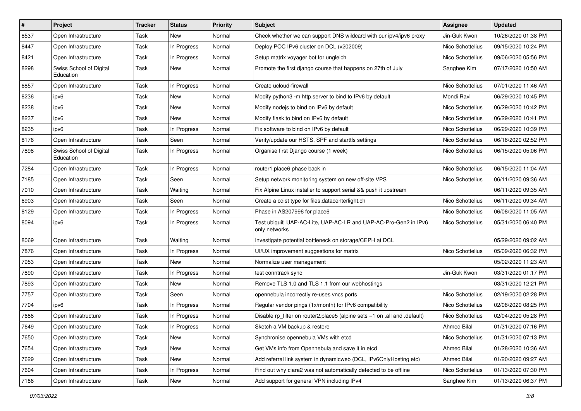| $\sharp$ | Project                              | <b>Tracker</b> | <b>Status</b> | <b>Priority</b> | Subject                                                                           | <b>Assignee</b>    | <b>Updated</b>      |
|----------|--------------------------------------|----------------|---------------|-----------------|-----------------------------------------------------------------------------------|--------------------|---------------------|
| 8537     | Open Infrastructure                  | Task           | New           | Normal          | Check whether we can support DNS wildcard with our ipv4/ipv6 proxy                | Jin-Guk Kwon       | 10/26/2020 01:38 PM |
| 8447     | Open Infrastructure                  | Task           | In Progress   | Normal          | Deploy POC IPv6 cluster on DCL (v202009)                                          | Nico Schottelius   | 09/15/2020 10:24 PM |
| 8421     | Open Infrastructure                  | Task           | In Progress   | Normal          | Setup matrix voyager bot for ungleich                                             | Nico Schottelius   | 09/06/2020 05:56 PM |
| 8298     | Swiss School of Digital<br>Education | Task           | New           | Normal          | Promote the first django course that happens on 27th of July                      | Sanghee Kim        | 07/17/2020 10:50 AM |
| 6857     | Open Infrastructure                  | Task           | In Progress   | Normal          | Create ucloud-firewall                                                            | Nico Schottelius   | 07/01/2020 11:46 AM |
| 8236     | ipv6                                 | Task           | New           | Normal          | Modify python3 -m http.server to bind to IPv6 by default                          | Mondi Ravi         | 06/29/2020 10:45 PM |
| 8238     | ipv6                                 | Task           | New           | Normal          | Modify nodejs to bind on IPv6 by default                                          | Nico Schottelius   | 06/29/2020 10:42 PM |
| 8237     | ipv6                                 | Task           | New           | Normal          | Modify flask to bind on IPv6 by default                                           | Nico Schottelius   | 06/29/2020 10:41 PM |
| 8235     | ipv6                                 | Task           | In Progress   | Normal          | Fix software to bind on IPv6 by default                                           | Nico Schottelius   | 06/29/2020 10:39 PM |
| 8176     | Open Infrastructure                  | Task           | Seen          | Normal          | Verify/update our HSTS, SPF and starttls settings                                 | Nico Schottelius   | 06/16/2020 02:52 PM |
| 7898     | Swiss School of Digital<br>Education | Task           | In Progress   | Normal          | Organise first Django course (1 week)                                             | Nico Schottelius   | 06/15/2020 05:06 PM |
| 7284     | Open Infrastructure                  | Task           | In Progress   | Normal          | router1.place6 phase back in                                                      | Nico Schottelius   | 06/15/2020 11:04 AM |
| 7185     | Open Infrastructure                  | Task           | Seen          | Normal          | Setup network monitoring system on new off-site VPS                               | Nico Schottelius   | 06/11/2020 09:36 AM |
| 7010     | Open Infrastructure                  | Task           | Waiting       | Normal          | Fix Alpine Linux installer to support serial && push it upstream                  |                    | 06/11/2020 09:35 AM |
| 6903     | Open Infrastructure                  | Task           | Seen          | Normal          | Create a cdist type for files.datacenterlight.ch                                  | Nico Schottelius   | 06/11/2020 09:34 AM |
| 8129     | Open Infrastructure                  | Task           | In Progress   | Normal          | Phase in AS207996 for place6                                                      | Nico Schottelius   | 06/08/2020 11:05 AM |
| 8094     | ipv6                                 | Task           | In Progress   | Normal          | Test ubiquiti UAP-AC-Lite, UAP-AC-LR and UAP-AC-Pro-Gen2 in IPv6<br>only networks | Nico Schottelius   | 05/31/2020 06:40 PM |
| 8069     | Open Infrastructure                  | Task           | Waiting       | Normal          | Investigate potential bottleneck on storage/CEPH at DCL                           |                    | 05/29/2020 09:02 AM |
| 7876     | Open Infrastructure                  | Task           | In Progress   | Normal          | UI/UX improvement suggestions for matrix                                          | Nico Schottelius   | 05/09/2020 06:32 PM |
| 7953     | Open Infrastructure                  | Task           | New           | Normal          | Normalize user management                                                         |                    | 05/02/2020 11:23 AM |
| 7890     | Open Infrastructure                  | Task           | In Progress   | Normal          | test conntrack sync                                                               | Jin-Guk Kwon       | 03/31/2020 01:17 PM |
| 7893     | Open Infrastructure                  | Task           | New           | Normal          | Remove TLS 1.0 and TLS 1.1 from our webhostings                                   |                    | 03/31/2020 12:21 PM |
| 7757     | Open Infrastructure                  | Task           | Seen          | Normal          | opennebula incorrectly re-uses vncs ports                                         | Nico Schottelius   | 02/19/2020 02:28 PM |
| 7704     | ipv6                                 | Task           | In Progress   | Normal          | Regular vendor pings (1x/month) for IPv6 compatibility                            | Nico Schottelius   | 02/08/2020 08:25 PM |
| 7688     | Open Infrastructure                  | Task           | In Progress   | Normal          | Disable rp_filter on router2.place5 (alpine sets =1 on .all and .default)         | Nico Schottelius   | 02/04/2020 05:28 PM |
| 7649     | Open Infrastructure                  | Task           | In Progress   | Normal          | Sketch a VM backup & restore                                                      | <b>Ahmed Bilal</b> | 01/31/2020 07:16 PM |
| 7650     | Open Infrastructure                  | Task           | New           | Normal          | Synchronise opennebula VMs with etcd                                              | Nico Schottelius   | 01/31/2020 07:13 PM |
| 7654     | Open Infrastructure                  | Task           | New           | Normal          | Get VMs info from Opennebula and save it in etcd                                  | <b>Ahmed Bilal</b> | 01/28/2020 10:36 AM |
| 7629     | Open Infrastructure                  | Task           | New           | Normal          | Add referral link system in dynamicweb (DCL, IPv6OnlyHosting etc)                 | <b>Ahmed Bilal</b> | 01/20/2020 09:27 AM |
| 7604     | Open Infrastructure                  | Task           | In Progress   | Normal          | Find out why ciara2 was not automatically detected to be offline                  | Nico Schottelius   | 01/13/2020 07:30 PM |
| 7186     | Open Infrastructure                  | Task           | New           | Normal          | Add support for general VPN including IPv4                                        | Sanghee Kim        | 01/13/2020 06:37 PM |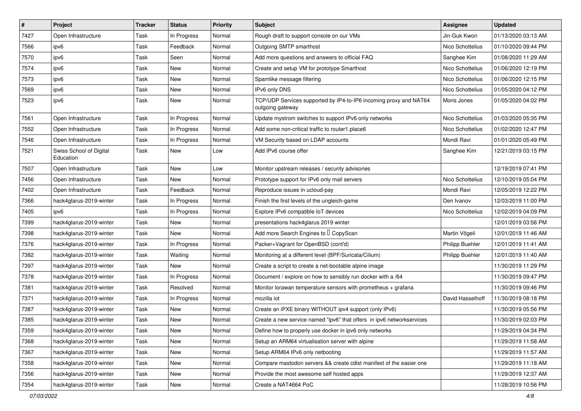| $\vert$ # | Project                              | <b>Tracker</b> | <b>Status</b> | <b>Priority</b> | <b>Subject</b>                                                                        | <b>Assignee</b>  | <b>Updated</b>      |
|-----------|--------------------------------------|----------------|---------------|-----------------|---------------------------------------------------------------------------------------|------------------|---------------------|
| 7427      | Open Infrastructure                  | Task           | In Progress   | Normal          | Rough draft to support console on our VMs                                             | Jin-Guk Kwon     | 01/13/2020 03:13 AM |
| 7566      | ipv6                                 | Task           | Feedback      | Normal          | Outgoing SMTP smarthost                                                               | Nico Schottelius | 01/10/2020 09:44 PM |
| 7570      | ipv6                                 | Task           | Seen          | Normal          | Add more questions and answers to official FAQ                                        | Sanghee Kim      | 01/08/2020 11:29 AM |
| 7574      | ipv6                                 | Task           | <b>New</b>    | Normal          | Create and setup VM for prototype Smarthost                                           | Nico Schottelius | 01/06/2020 12:19 PM |
| 7573      | ipv6                                 | Task           | <b>New</b>    | Normal          | Spamlike message filtering                                                            | Nico Schottelius | 01/06/2020 12:15 PM |
| 7569      | ipv6                                 | Task           | New           | Normal          | IPv6 only DNS                                                                         | Nico Schottelius | 01/05/2020 04:12 PM |
| 7523      | ipv6                                 | Task           | New           | Normal          | TCP/UDP Services supported by IP4-to-IP6 incoming proxy and NAT64<br>outgoing gateway | Moris Jones      | 01/05/2020 04:02 PM |
| 7561      | Open Infrastructure                  | Task           | In Progress   | Normal          | Update mystrom switches to support IPv6 only networks                                 | Nico Schottelius | 01/03/2020 05:35 PM |
| 7552      | Open Infrastructure                  | Task           | In Progress   | Normal          | Add some non-critical traffic to router1.place6                                       | Nico Schottelius | 01/02/2020 12:47 PM |
| 7546      | Open Infrastructure                  | Task           | In Progress   | Normal          | VM Security based on LDAP accounts                                                    | Mondi Ravi       | 01/01/2020 05:49 PM |
| 7521      | Swiss School of Digital<br>Education | Task           | New           | Low             | Add IPv6 course offer                                                                 | Sanghee Kim      | 12/21/2019 03:15 PM |
| 7507      | Open Infrastructure                  | Task           | New           | Low             | Monitor upstream releases / security advisories                                       |                  | 12/19/2019 07:41 PM |
| 7456      | Open Infrastructure                  | Task           | New           | Normal          | Prototype support for IPv6 only mail servers                                          | Nico Schottelius | 12/10/2019 05:04 PM |
| 7402      | Open Infrastructure                  | Task           | Feedback      | Normal          | Reproduce issues in ucloud-pay                                                        | Mondi Ravi       | 12/05/2019 12:22 PM |
| 7366      | hack4glarus-2019-winter              | Task           | In Progress   | Normal          | Finish the first levels of the ungleich-game                                          | Den Ivanov       | 12/03/2019 11:00 PM |
| 7405      | ipv6                                 | Task           | In Progress   | Normal          | Explore IPv6 compatible IoT devices                                                   | Nico Schottelius | 12/02/2019 04:09 PM |
| 7399      | hack4glarus-2019-winter              | Task           | New           | Normal          | presentations hack4glarus 2019 winter                                                 |                  | 12/01/2019 03:56 PM |
| 7398      | hack4glarus-2019-winter              | Task           | <b>New</b>    | Normal          | Add more Search Engines to I CopyScan                                                 | Martin Vögeli    | 12/01/2019 11:46 AM |
| 7376      | hack4glarus-2019-winter              | Task           | In Progress   | Normal          | Packer+Vagrant for OpenBSD (cont'd)                                                   | Philipp Buehler  | 12/01/2019 11:41 AM |
| 7382      | hack4glarus-2019-winter              | Task           | Waiting       | Normal          | Monitoring at a different level (BPF/Suricata/Cilium)                                 | Philipp Buehler  | 12/01/2019 11:40 AM |
| 7397      | hack4glarus-2019-winter              | Task           | <b>New</b>    | Normal          | Create a script to create a net-bootable alpine image                                 |                  | 11/30/2019 11:29 PM |
| 7378      | hack4glarus-2019-winter              | Task           | In Progress   | Normal          | Document / explore on how to sensibly run docker with a /64                           |                  | 11/30/2019 09:47 PM |
| 7381      | hack4glarus-2019-winter              | Task           | Resolved      | Normal          | Monitor lorawan temperature sensors with prometheus $+$ grafana                       |                  | 11/30/2019 09:46 PM |
| 7371      | hack4glarus-2019-winter              | Task           | In Progress   | Normal          | mozilla iot                                                                           | David Hasselhoff | 11/30/2019 08:18 PM |
| 7387      | hack4glarus-2019-winter              | Task           | New           | Normal          | Create an iPXE binary WITHOUT ipv4 support (only IPv6)                                |                  | 11/30/2019 05:56 PM |
| 7385      | hack4glarus-2019-winter              | Task           | New           | Normal          | Create a new service named "ipv6" that offers in ipv6 networkservices                 |                  | 11/30/2019 02:03 PM |
| 7359      | hack4glarus-2019-winter              | Task           | New           | Normal          | Define how to properly use docker in ipv6 only networks                               |                  | 11/29/2019 04:34 PM |
| 7368      | hack4glarus-2019-winter              | Task           | New           | Normal          | Setup an ARM64 virtualisation server with alpine                                      |                  | 11/29/2019 11:58 AM |
| 7367      | hack4glarus-2019-winter              | Task           | New           | Normal          | Setup ARM64 IPv6 only netbooting                                                      |                  | 11/29/2019 11:57 AM |
| 7358      | hack4glarus-2019-winter              | Task           | New           | Normal          | Compare mastodon servers && create cdist manifest of the easier one                   |                  | 11/29/2019 11:18 AM |
| 7356      | hack4glarus-2019-winter              | Task           | New           | Normal          | Provide the most awesome self hosted apps                                             |                  | 11/29/2019 12:37 AM |
| 7354      | hack4glarus-2019-winter              | Task           | New           | Normal          | Create a NAT4664 PoC                                                                  |                  | 11/28/2019 10:56 PM |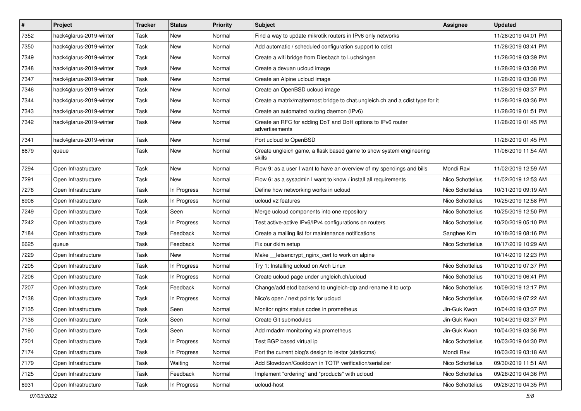| $\pmb{\#}$ | Project                 | <b>Tracker</b> | <b>Status</b> | <b>Priority</b> | Subject                                                                       | <b>Assignee</b>  | <b>Updated</b>      |
|------------|-------------------------|----------------|---------------|-----------------|-------------------------------------------------------------------------------|------------------|---------------------|
| 7352       | hack4glarus-2019-winter | Task           | New           | Normal          | Find a way to update mikrotik routers in IPv6 only networks                   |                  | 11/28/2019 04:01 PM |
| 7350       | hack4glarus-2019-winter | Task           | New           | Normal          | Add automatic / scheduled configuration support to cdist                      |                  | 11/28/2019 03:41 PM |
| 7349       | hack4glarus-2019-winter | Task           | New           | Normal          | Create a wifi bridge from Diesbach to Luchsingen                              |                  | 11/28/2019 03:39 PM |
| 7348       | hack4glarus-2019-winter | Task           | New           | Normal          | Create a devuan ucloud image                                                  |                  | 11/28/2019 03:38 PM |
| 7347       | hack4glarus-2019-winter | Task           | New           | Normal          | Create an Alpine ucloud image                                                 |                  | 11/28/2019 03:38 PM |
| 7346       | hack4glarus-2019-winter | Task           | New           | Normal          | Create an OpenBSD ucloud image                                                |                  | 11/28/2019 03:37 PM |
| 7344       | hack4glarus-2019-winter | Task           | New           | Normal          | Create a matrix/mattermost bridge to chat.ungleich.ch and a cdist type for it |                  | 11/28/2019 03:36 PM |
| 7343       | hack4glarus-2019-winter | Task           | New           | Normal          | Create an automated routing daemon (IPv6)                                     |                  | 11/28/2019 01:51 PM |
| 7342       | hack4glarus-2019-winter | Task           | New           | Normal          | Create an RFC for adding DoT and DoH options to IPv6 router<br>advertisements |                  | 11/28/2019 01:45 PM |
| 7341       | hack4glarus-2019-winter | Task           | New           | Normal          | Port ucloud to OpenBSD                                                        |                  | 11/28/2019 01:45 PM |
| 6679       | queue                   | Task           | New           | Normal          | Create ungleich game, a flask based game to show system engineering<br>skills |                  | 11/06/2019 11:54 AM |
| 7294       | Open Infrastructure     | Task           | New           | Normal          | Flow 9: as a user I want to have an overview of my spendings and bills        | Mondi Ravi       | 11/02/2019 12:59 AM |
| 7291       | Open Infrastructure     | Task           | New           | Normal          | Flow 6: as a sysadmin I want to know / install all requirements               | Nico Schottelius | 11/02/2019 12:53 AM |
| 7278       | Open Infrastructure     | Task           | In Progress   | Normal          | Define how networking works in ucloud                                         | Nico Schottelius | 10/31/2019 09:19 AM |
| 6908       | Open Infrastructure     | Task           | In Progress   | Normal          | ucloud v2 features                                                            | Nico Schottelius | 10/25/2019 12:58 PM |
| 7249       | Open Infrastructure     | Task           | Seen          | Normal          | Merge ucloud components into one repository                                   | Nico Schottelius | 10/25/2019 12:50 PM |
| 7242       | Open Infrastructure     | Task           | In Progress   | Normal          | Test active-active IPv6/IPv4 configurations on routers                        | Nico Schottelius | 10/20/2019 05:10 PM |
| 7184       | Open Infrastructure     | Task           | Feedback      | Normal          | Create a mailing list for maintenance notifications                           | Sanghee Kim      | 10/18/2019 08:16 PM |
| 6625       | queue                   | Task           | Feedback      | Normal          | Fix our dkim setup                                                            | Nico Schottelius | 10/17/2019 10:29 AM |
| 7229       | Open Infrastructure     | Task           | New           | Normal          | Make __letsencrypt_nginx_cert to work on alpine                               |                  | 10/14/2019 12:23 PM |
| 7205       | Open Infrastructure     | Task           | In Progress   | Normal          | Try 1: Installing ucloud on Arch Linux                                        | Nico Schottelius | 10/10/2019 07:37 PM |
| 7206       | Open Infrastructure     | Task           | In Progress   | Normal          | Create ucloud page under ungleich.ch/ucloud                                   | Nico Schottelius | 10/10/2019 06:41 PM |
| 7207       | Open Infrastructure     | Task           | Feedback      | Normal          | Change/add etcd backend to ungleich-otp and rename it to uotp                 | Nico Schottelius | 10/09/2019 12:17 PM |
| 7138       | Open Infrastructure     | Task           | In Progress   | Normal          | Nico's open / next points for ucloud                                          | Nico Schottelius | 10/06/2019 07:22 AM |
| 7135       | Open Infrastructure     | Task           | Seen          | Normal          | Monitor nginx status codes in prometheus                                      | Jin-Guk Kwon     | 10/04/2019 03:37 PM |
| 7136       | Open Infrastructure     | Task           | Seen          | Normal          | Create Git submodules                                                         | Jin-Guk Kwon     | 10/04/2019 03:37 PM |
| 7190       | Open Infrastructure     | Task           | Seen          | Normal          | Add mdadm monitoring via prometheus                                           | Jin-Guk Kwon     | 10/04/2019 03:36 PM |
| 7201       | Open Infrastructure     | Task           | In Progress   | Normal          | Test BGP based virtual ip                                                     | Nico Schottelius | 10/03/2019 04:30 PM |
| 7174       | Open Infrastructure     | Task           | In Progress   | Normal          | Port the current blog's design to lektor (staticcms)                          | Mondi Ravi       | 10/03/2019 03:18 AM |
| 7179       | Open Infrastructure     | Task           | Waiting       | Normal          | Add Slowdown/Cooldown in TOTP verification/serializer                         | Nico Schottelius | 09/30/2019 11:51 AM |
| 7125       | Open Infrastructure     | Task           | Feedback      | Normal          | Implement "ordering" and "products" with ucloud                               | Nico Schottelius | 09/28/2019 04:36 PM |
| 6931       | Open Infrastructure     | Task           | In Progress   | Normal          | ucloud-host                                                                   | Nico Schottelius | 09/28/2019 04:35 PM |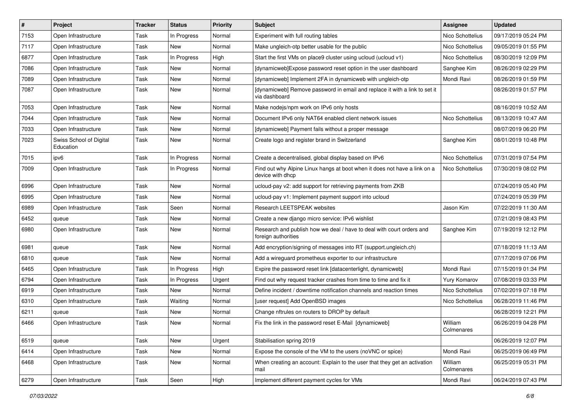| $\vert$ # | Project                              | <b>Tracker</b> | <b>Status</b> | <b>Priority</b> | <b>Subject</b>                                                                                | <b>Assignee</b>       | <b>Updated</b>      |
|-----------|--------------------------------------|----------------|---------------|-----------------|-----------------------------------------------------------------------------------------------|-----------------------|---------------------|
| 7153      | Open Infrastructure                  | Task           | In Progress   | Normal          | Experiment with full routing tables                                                           | Nico Schottelius      | 09/17/2019 05:24 PM |
| 7117      | Open Infrastructure                  | Task           | New           | Normal          | Make ungleich-otp better usable for the public                                                | Nico Schottelius      | 09/05/2019 01:55 PM |
| 6877      | Open Infrastructure                  | Task           | In Progress   | High            | Start the first VMs on place9 cluster using ucloud (ucloud v1)                                | Nico Schottelius      | 08/30/2019 12:09 PM |
| 7086      | Open Infrastructure                  | Task           | New           | Normal          | [dynamicweb]Expose password reset option in the user dashboard                                | Sanghee Kim           | 08/26/2019 02:29 PM |
| 7089      | Open Infrastructure                  | Task           | <b>New</b>    | Normal          | [dynamicweb] Implement 2FA in dynamicweb with ungleich-otp                                    | Mondi Ravi            | 08/26/2019 01:59 PM |
| 7087      | Open Infrastructure                  | Task           | New           | Normal          | [dynamicweb] Remove password in email and replace it with a link to set it<br>via dashboard   |                       | 08/26/2019 01:57 PM |
| 7053      | Open Infrastructure                  | Task           | New           | Normal          | Make nodejs/npm work on IPv6 only hosts                                                       |                       | 08/16/2019 10:52 AM |
| 7044      | Open Infrastructure                  | Task           | New           | Normal          | Document IPv6 only NAT64 enabled client network issues                                        | Nico Schottelius      | 08/13/2019 10:47 AM |
| 7033      | Open Infrastructure                  | Task           | New           | Normal          | [dynamicweb] Payment fails without a proper message                                           |                       | 08/07/2019 06:20 PM |
| 7023      | Swiss School of Digital<br>Education | Task           | New           | Normal          | Create logo and register brand in Switzerland                                                 | Sanghee Kim           | 08/01/2019 10:48 PM |
| 7015      | ipv6                                 | Task           | In Progress   | Normal          | Create a decentralised, global display based on IPv6                                          | Nico Schottelius      | 07/31/2019 07:54 PM |
| 7009      | Open Infrastructure                  | Task           | In Progress   | Normal          | Find out why Alpine Linux hangs at boot when it does not have a link on a<br>device with dhcp | Nico Schottelius      | 07/30/2019 08:02 PM |
| 6996      | Open Infrastructure                  | Task           | <b>New</b>    | Normal          | ucloud-pay v2: add support for retrieving payments from ZKB                                   |                       | 07/24/2019 05:40 PM |
| 6995      | Open Infrastructure                  | Task           | New           | Normal          | ucloud-pay v1: Implement payment support into ucloud                                          |                       | 07/24/2019 05:39 PM |
| 6989      | Open Infrastructure                  | Task           | Seen          | Normal          | Research LEETSPEAK websites                                                                   | Jason Kim             | 07/22/2019 11:30 AM |
| 6452      | queue                                | Task           | New           | Normal          | Create a new diango micro service: IPv6 wishlist                                              |                       | 07/21/2019 08:43 PM |
| 6980      | Open Infrastructure                  | Task           | <b>New</b>    | Normal          | Research and publish how we deal / have to deal with court orders and<br>foreign authorities  | Sanghee Kim           | 07/19/2019 12:12 PM |
| 6981      | queue                                | Task           | New           | Normal          | Add encryption/signing of messages into RT (support.ungleich.ch)                              |                       | 07/18/2019 11:13 AM |
| 6810      | queue                                | Task           | New           | Normal          | Add a wireguard prometheus exporter to our infrastructure                                     |                       | 07/17/2019 07:06 PM |
| 6465      | Open Infrastructure                  | Task           | In Progress   | High            | Expire the password reset link [datacenterlight, dynamicweb]                                  | Mondi Ravi            | 07/15/2019 01:34 PM |
| 6794      | Open Infrastructure                  | Task           | In Progress   | Urgent          | Find out why request tracker crashes from time to time and fix it                             | Yury Komarov          | 07/08/2019 03:33 PM |
| 6919      | Open Infrastructure                  | Task           | <b>New</b>    | Normal          | Define incident / downtime notification channels and reaction times                           | Nico Schottelius      | 07/02/2019 07:18 PM |
| 6310      | Open Infrastructure                  | Task           | Waiting       | Normal          | [user request] Add OpenBSD images                                                             | Nico Schottelius      | 06/28/2019 11:46 PM |
| 6211      | queue                                | Task           | New           | Normal          | Change nftrules on routers to DROP by default                                                 |                       | 06/28/2019 12:21 PM |
| 6466      | Open Infrastructure                  | Task           | <b>New</b>    | Normal          | Fix the link in the password reset E-Mail [dynamicweb]                                        | William<br>Colmenares | 06/26/2019 04:28 PM |
| 6519      | queue                                | Task           | <b>New</b>    | Urgent          | Stabilisation spring 2019                                                                     |                       | 06/26/2019 12:07 PM |
| 6414      | Open Infrastructure                  | Task           | <b>New</b>    | Normal          | Expose the console of the VM to the users (noVNC or spice)                                    | Mondi Ravi            | 06/25/2019 06:49 PM |
| 6468      | Open Infrastructure                  | Task           | New           | Normal          | When creating an account: Explain to the user that they get an activation<br>mail             | William<br>Colmenares | 06/25/2019 05:31 PM |
| 6279      | Open Infrastructure                  | Task           | Seen          | High            | Implement different payment cycles for VMs                                                    | Mondi Ravi            | 06/24/2019 07:43 PM |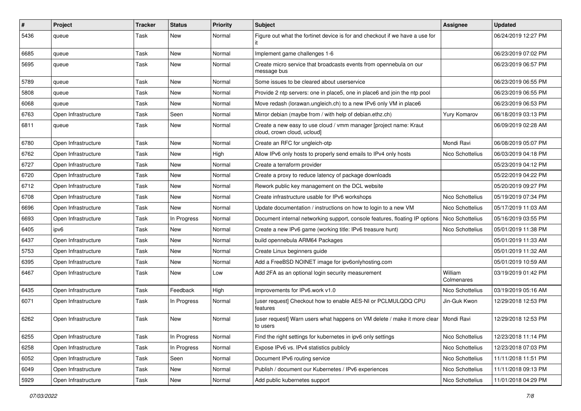| $\sharp$ | Project             | Tracker | <b>Status</b> | <b>Priority</b> | <b>Subject</b>                                                                                   | Assignee              | <b>Updated</b>      |
|----------|---------------------|---------|---------------|-----------------|--------------------------------------------------------------------------------------------------|-----------------------|---------------------|
| 5436     | queue               | Task    | New           | Normal          | Figure out what the fortinet device is for and checkout if we have a use for                     |                       | 06/24/2019 12:27 PM |
| 6685     | queue               | Task    | New           | Normal          | Implement game challenges 1-6                                                                    |                       | 06/23/2019 07:02 PM |
| 5695     | queue               | Task    | New           | Normal          | Create micro service that broadcasts events from opennebula on our<br>message bus                |                       | 06/23/2019 06:57 PM |
| 5789     | queue               | Task    | New           | Normal          | Some issues to be cleared about userservice                                                      |                       | 06/23/2019 06:55 PM |
| 5808     | queue               | Task    | New           | Normal          | Provide 2 ntp servers: one in place5, one in place6 and join the ntp pool                        |                       | 06/23/2019 06:55 PM |
| 6068     | queue               | Task    | New           | Normal          | Move redash (lorawan.ungleich.ch) to a new IPv6 only VM in place6                                |                       | 06/23/2019 06:53 PM |
| 6763     | Open Infrastructure | Task    | Seen          | Normal          | Mirror debian (maybe from / with help of debian.ethz.ch)                                         | Yury Komarov          | 06/18/2019 03:13 PM |
| 6811     | queue               | Task    | New           | Normal          | Create a new easy to use cloud / vmm manager [project name: Kraut<br>cloud, crown cloud, ucloud] |                       | 06/09/2019 02:28 AM |
| 6780     | Open Infrastructure | Task    | New           | Normal          | Create an RFC for ungleich-otp                                                                   | Mondi Ravi            | 06/08/2019 05:07 PM |
| 6762     | Open Infrastructure | Task    | <b>New</b>    | High            | Allow IPv6 only hosts to properly send emails to IPv4 only hosts                                 | Nico Schottelius      | 06/03/2019 04:18 PM |
| 6727     | Open Infrastructure | Task    | New           | Normal          | Create a terraform provider                                                                      |                       | 05/23/2019 04:12 PM |
| 6720     | Open Infrastructure | Task    | <b>New</b>    | Normal          | Create a proxy to reduce latency of package downloads                                            |                       | 05/22/2019 04:22 PM |
| 6712     | Open Infrastructure | Task    | New           | Normal          | Rework public key management on the DCL website                                                  |                       | 05/20/2019 09:27 PM |
| 6708     | Open Infrastructure | Task    | New           | Normal          | Create infrastructure usable for IPv6 workshops                                                  | Nico Schottelius      | 05/19/2019 07:34 PM |
| 6696     | Open Infrastructure | Task    | <b>New</b>    | Normal          | Update documentation / instructions on how to login to a new VM                                  | Nico Schottelius      | 05/17/2019 11:03 AM |
| 6693     | Open Infrastructure | Task    | In Progress   | Normal          | Document internal networking support, console features, floating IP options                      | Nico Schottelius      | 05/16/2019 03:55 PM |
| 6405     | ipv6                | Task    | New           | Normal          | Create a new IPv6 game (working title: IPv6 treasure hunt)                                       | Nico Schottelius      | 05/01/2019 11:38 PM |
| 6437     | Open Infrastructure | Task    | New           | Normal          | build opennebula ARM64 Packages                                                                  |                       | 05/01/2019 11:33 AM |
| 5753     | Open Infrastructure | Task    | New           | Normal          | Create Linux beginners guide                                                                     |                       | 05/01/2019 11:32 AM |
| 6395     | Open Infrastructure | Task    | New           | Normal          | Add a FreeBSD NOINET image for ipv6onlyhosting.com                                               |                       | 05/01/2019 10:59 AM |
| 6467     | Open Infrastructure | Task    | New           | Low             | Add 2FA as an optional login security measurement                                                | William<br>Colmenares | 03/19/2019 01:42 PM |
| 6435     | Open Infrastructure | Task    | Feedback      | High            | Improvements for IPv6.work v1.0                                                                  | Nico Schottelius      | 03/19/2019 05:16 AM |
| 6071     | Open Infrastructure | Task    | In Progress   | Normal          | [user request] Checkout how to enable AES-NI or PCLMULQDQ CPU<br>features                        | Jin-Guk Kwon          | 12/29/2018 12:53 PM |
| 6262     | Open Infrastructure | Task    | <b>New</b>    | Normal          | [user request] Warn users what happens on VM delete / make it more clear<br>to users             | Mondi Ravi            | 12/29/2018 12:53 PM |
| 6255     | Open Infrastructure | Task    | In Progress   | Normal          | Find the right settings for kubernetes in ipv6 only settings                                     | Nico Schottelius      | 12/23/2018 11:14 PM |
| 6258     | Open Infrastructure | Task    | In Progress   | Normal          | Expose IPv6 vs. IPv4 statistics publicly                                                         | Nico Schottelius      | 12/23/2018 07:03 PM |
| 6052     | Open Infrastructure | Task    | Seen          | Normal          | Document IPv6 routing service                                                                    | Nico Schottelius      | 11/11/2018 11:51 PM |
| 6049     | Open Infrastructure | Task    | New           | Normal          | Publish / document our Kubernetes / IPv6 experiences                                             | Nico Schottelius      | 11/11/2018 09:13 PM |
| 5929     | Open Infrastructure | Task    | New           | Normal          | Add public kubernetes support                                                                    | Nico Schottelius      | 11/01/2018 04:29 PM |